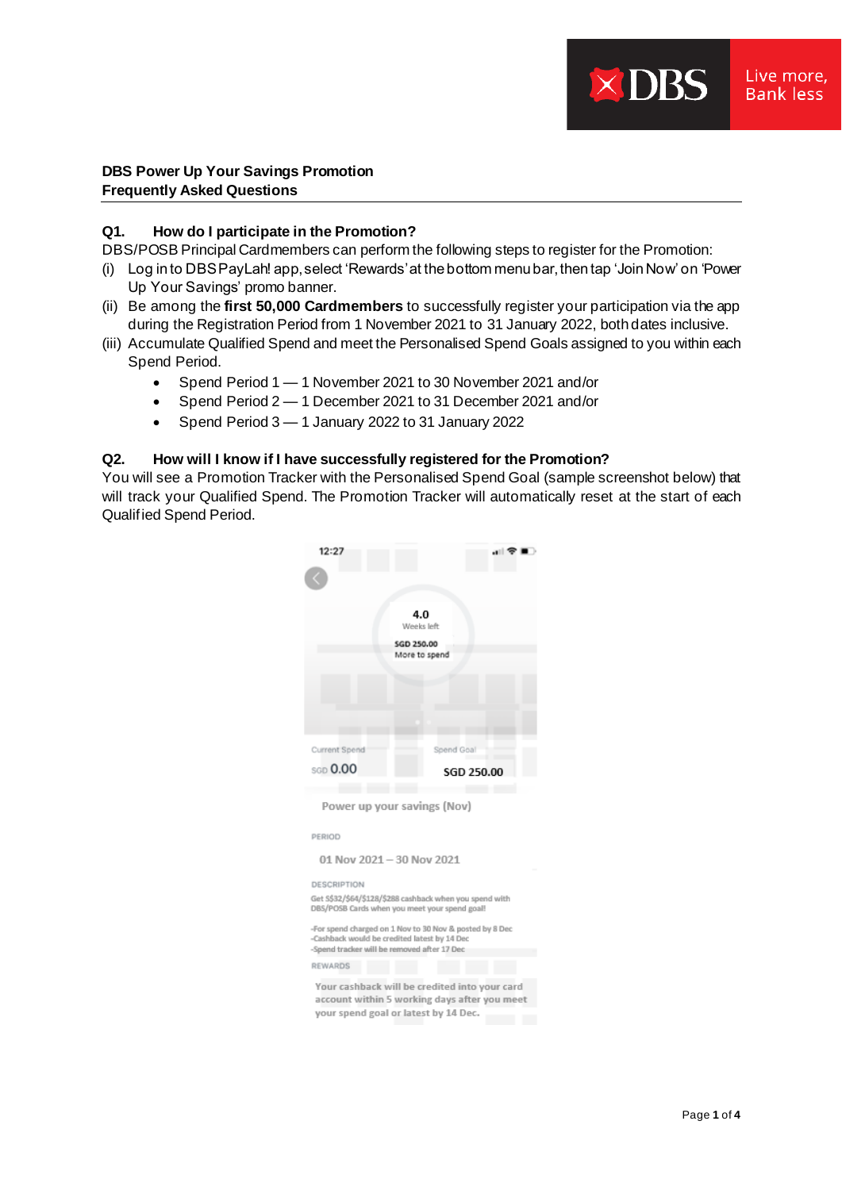# **DBS Power Up Your Savings Promotion Frequently Asked Questions**

# **Q1. How do I participate in the Promotion?**

DBS/POSB Principal Cardmembers can perform the following steps to register for the Promotion:

- (i) Log in to DBS PayLah! app, select 'Rewards' at the bottom menu bar, then tap 'Join Now' on 'Power Up Your Savings' promo banner.
- (ii) Be among the **first 50,000 Cardmembers** to successfully register your participation via the app during the Registration Period from 1 November 2021 to 31 January 2022, both dates inclusive.
- (iii) Accumulate Qualified Spend and meet the Personalised Spend Goals assigned to you within each Spend Period.
	- Spend Period 1 1 November 2021 to 30 November 2021 and/or
	- Spend Period 2 1 December 2021 to 31 December 2021 and/or
	- Spend Period 3 1 January 2022 to 31 January 2022

# **Q2. How will I know if I have successfully registered for the Promotion?**

You will see a Promotion Tracker with the Personalised Spend Goal (sample screenshot below) that will track your Qualified Spend. The Promotion Tracker will automatically reset at the start of each Qualified Spend Period.

| 12:27                                        |                                                                                      |
|----------------------------------------------|--------------------------------------------------------------------------------------|
|                                              |                                                                                      |
|                                              |                                                                                      |
|                                              | 4.0                                                                                  |
|                                              | Weeks left:                                                                          |
|                                              | <b>SGD 250,00</b><br>More to spend                                                   |
|                                              |                                                                                      |
|                                              |                                                                                      |
|                                              |                                                                                      |
|                                              |                                                                                      |
|                                              |                                                                                      |
| Current Spend                                | Spend Goal                                                                           |
| <b>SGD</b> 0.00                              | SGD 250.00                                                                           |
|                                              |                                                                                      |
|                                              | Power up your savings (Nov)                                                          |
|                                              |                                                                                      |
| PERIOD                                       |                                                                                      |
| 01 Nov 2021 - 30 Nov 2021                    |                                                                                      |
| <b>DESCRIPTION</b>                           |                                                                                      |
|                                              | Get S\$32/\$64/\$128/\$288 cashback when you spend with                              |
|                                              | DBS/POSB Cards when you meet your spend goal!                                        |
| -Cashback would be credited latest by 14 Dec | -For spend charged on 1 Nov to 30 Nov & posted by 8 Dec                              |
| -Spend tracker will be removed after 17 Dec  |                                                                                      |
| REWARDS                                      |                                                                                      |
|                                              | Your cashback will be credited into your card                                        |
|                                              |                                                                                      |
|                                              | account within 5 working days after you meet<br>your spend goal or latest by 14 Dec. |

 $\times$  DBS

Live more. **Bank less**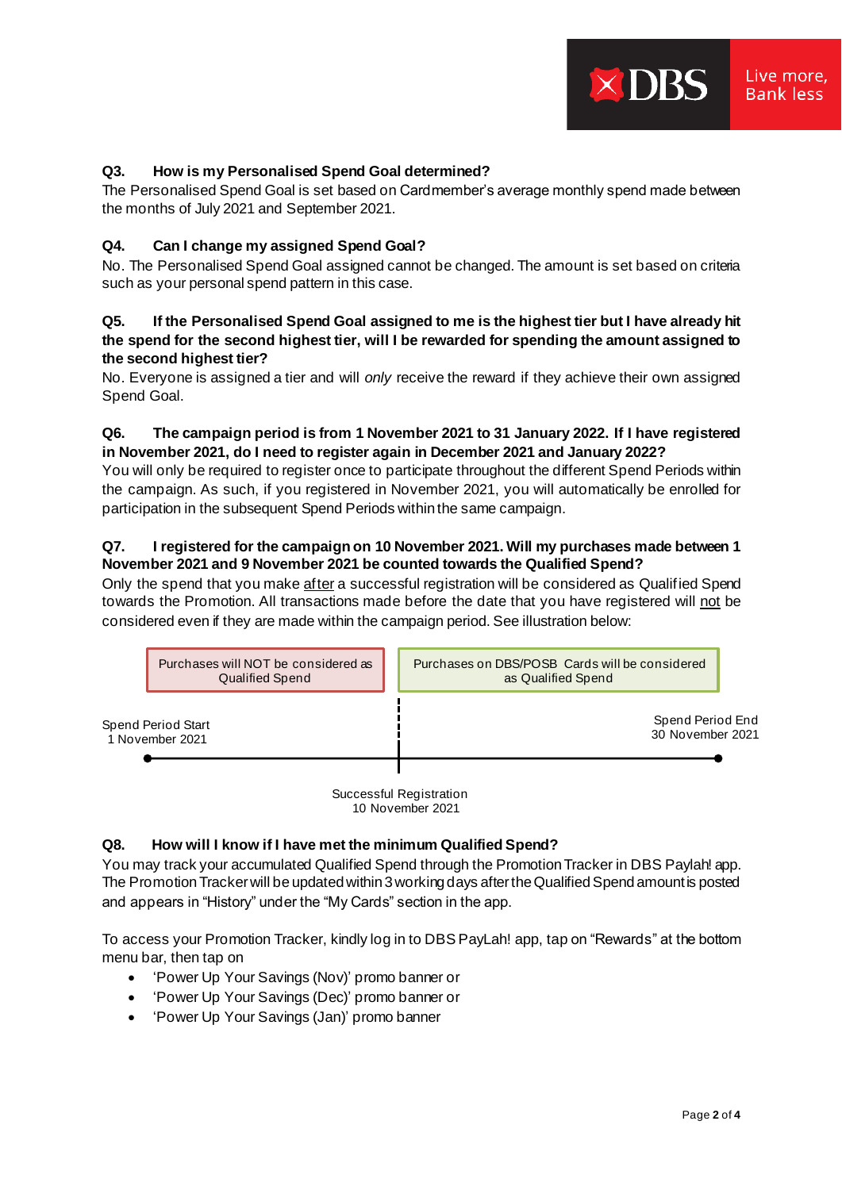### **Q3. How is my Personalised Spend Goal determined?**

The Personalised Spend Goal is set based on Cardmember's average monthly spend made between the months of July 2021 and September 2021.

#### **Q4. Can I change my assigned Spend Goal?**

No. The Personalised Spend Goal assigned cannot be changed. The amount is set based on criteria such as your personal spend pattern in this case.

### **Q5. If the Personalised Spend Goal assigned to me is the highest tier but I have already hit the spend for the second highest tier, will I be rewarded for spending the amount assigned to the second highest tier?**

No. Everyone is assigned a tier and will *only* receive the reward if they achieve their own assigned Spend Goal.

### **Q6. The campaign period is from 1 November 2021 to 31 January 2022. If I have registered in November 2021, do I need to register again in December 2021 and January 2022?**

You will only be required to register once to participate throughout the different Spend Periods within the campaign. As such, if you registered in November 2021, you will automatically be enrolled for participation in the subsequent Spend Periods within the same campaign.

### **Q7. I registered for the campaign on 10 November 2021. Will my purchases made between 1 November 2021 and 9 November 2021 be counted towards the Qualified Spend?**

Only the spend that you make after a successful registration will be considered as Qualified Spend towards the Promotion. All transactions made before the date that you have registered will not be considered even if they are made within the campaign period. See illustration below:



Successful Registration 10 November 2021

#### **Q8. How will I know if I have met the minimum Qualified Spend?**

You may track your accumulated Qualified Spend through the Promotion Tracker in DBS Paylah! app. The Promotion Tracker will be updated within 3 working days after the Qualified Spend amount is posted and appears in "History" under the "My Cards" section in the app.

To access your Promotion Tracker, kindly log in to DBS PayLah! app, tap on "Rewards" at the bottom menu bar, then tap on

- 'Power Up Your Savings (Nov)' promo banner or
- 'Power Up Your Savings (Dec)' promo banner or
- 'Power Up Your Savings (Jan)' promo banner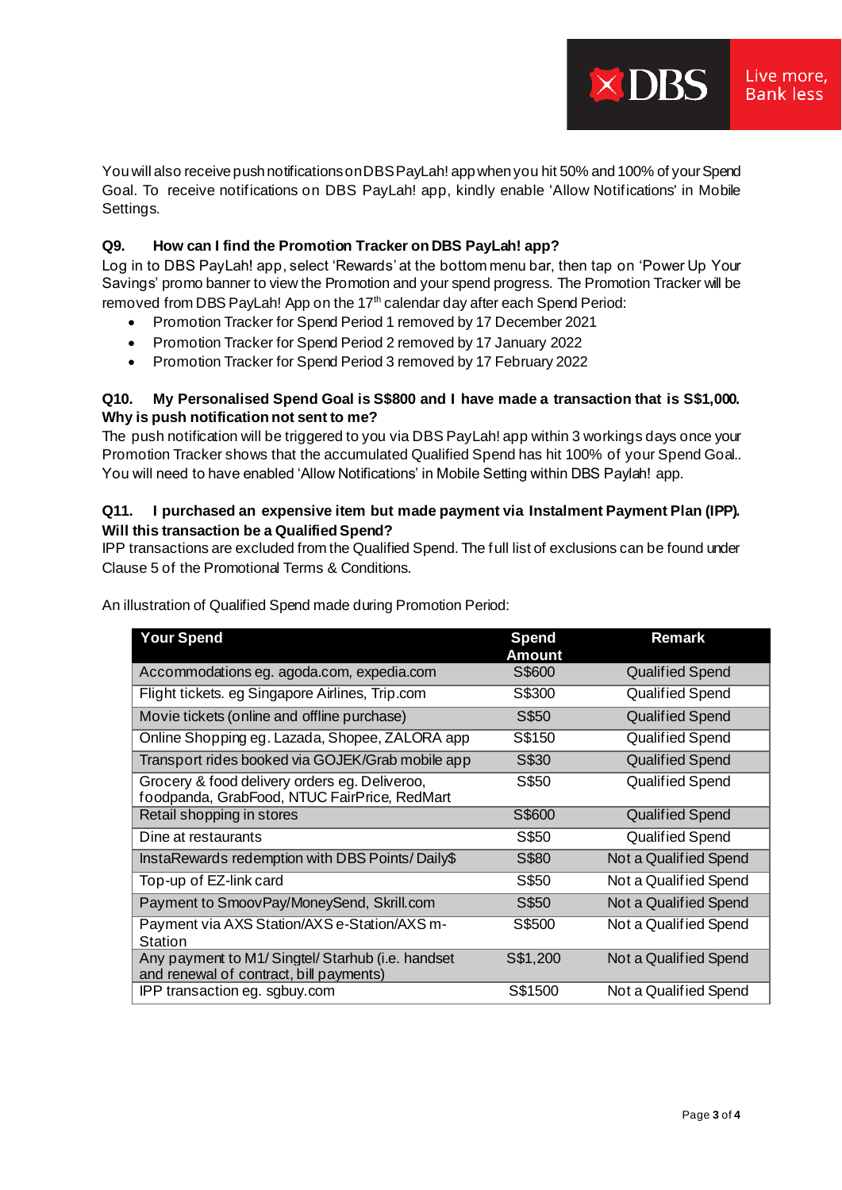**DBS** 

You will also receive push notifications on DBS PayLah! app when you hit 50% and 100% of your Spend Goal. To receive notifications on DBS PayLah! app, kindly enable 'Allow Notifications' in Mobile Settings.

# **Q9. How can I find the Promotion Tracker on DBS PayLah! app?**

Log in to DBS PayLah! app, select 'Rewards' at the bottom menu bar, then tap on 'Power Up Your Savings' promo banner to view the Promotion and your spend progress. The Promotion Tracker will be removed from DBS PayLah! App on the 17<sup>th</sup> calendar day after each Spend Period:

- Promotion Tracker for Spend Period 1 removed by 17 December 2021
- Promotion Tracker for Spend Period 2 removed by 17 January 2022
- Promotion Tracker for Spend Period 3 removed by 17 February 2022

# **Q10. My Personalised Spend Goal is S\$800 and I have made a transaction that is S\$1,000. Why is push notification not sent to me?**

The push notification will be triggered to you via DBS PayLah! app within 3 workings days once your Promotion Tracker shows that the accumulated Qualified Spend has hit 100% of your Spend Goal.. You will need to have enabled 'Allow Notifications' in Mobile Setting within DBS Paylah! app.

# **Q11. I purchased an expensive item but made payment via Instalment Payment Plan (IPP). Will this transaction be a Qualified Spend?**

IPP transactions are excluded from the Qualified Spend. The full list of exclusions can be found under Clause 5 of the Promotional Terms & Conditions.

| <b>Your Spend</b>                                                                             | <b>Spend</b><br>Amount | <b>Remark</b>          |
|-----------------------------------------------------------------------------------------------|------------------------|------------------------|
| Accommodations eg. agoda.com, expedia.com                                                     | S\$600                 | <b>Qualified Spend</b> |
| Flight tickets. eg Singapore Airlines, Trip.com                                               | S\$300                 | Qualified Spend        |
| Movie tickets (online and offline purchase)                                                   | S\$50                  | <b>Qualified Spend</b> |
| Online Shopping eg. Lazada, Shopee, ZALORA app                                                | S\$150                 | <b>Qualified Spend</b> |
| Transport rides booked via GOJEK/Grab mobile app                                              | S\$30                  | <b>Qualified Spend</b> |
| Grocery & food delivery orders eg. Deliveroo,<br>foodpanda, GrabFood, NTUC FairPrice, RedMart | S\$50                  | <b>Qualified Spend</b> |
| Retail shopping in stores                                                                     | S\$600                 | <b>Qualified Spend</b> |
| Dine at restaurants                                                                           | S\$50                  | <b>Qualified Spend</b> |
| InstaRewards redemption with DBS Points/Daily\$                                               | S\$80                  | Not a Qualified Spend  |
| Top-up of EZ-link card                                                                        | S\$50                  | Not a Qualified Spend  |
| Payment to SmoovPay/MoneySend, Skrill.com                                                     | S\$50                  | Not a Qualified Spend  |
| Payment via AXS Station/AXS e-Station/AXS m-<br>Station                                       | S\$500                 | Not a Qualified Spend  |
| Any payment to M1/ Singtel/ Starhub (i.e. handset<br>and renewal of contract, bill payments)  | S\$1,200               | Not a Qualified Spend  |
| IPP transaction eg. sgbuy.com                                                                 | S\$1500                | Not a Qualified Spend  |

An illustration of Qualified Spend made during Promotion Period: